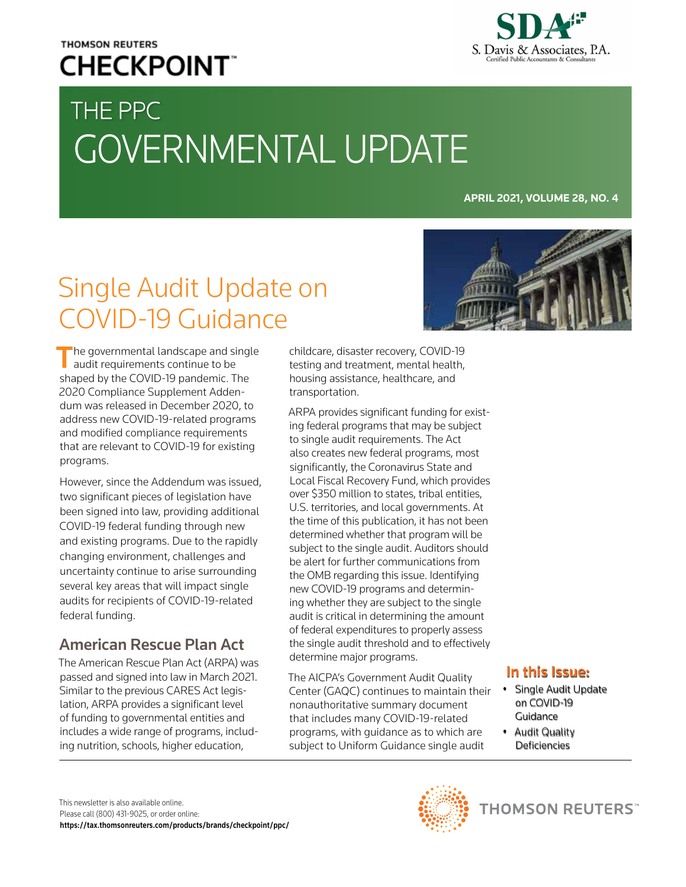## **THOMSON REUTERS CHECKPOINT**



# THE PPC GOVERNMENTAL UPDATE

**APRIL 2021, VOLUME 28, NO. 4**

# Single Audit Update on COVID-19 Guidance

 $\blacksquare$  he governmental landscape and single audit requirements continue to be shaped by the COVID-19 pandemic. The 2020 Compliance Supplement Addendum was released in December 2020, to address new COVID-19-related programs and modified compliance requirements that are relevant to COVID-19 for existing programs.

However, since the Addendum was issued, two significant pieces of legislation have been signed into law, providing additional COVID-19 federal funding through new and existing programs. Due to the rapidly changing environment, challenges and uncertainty continue to arise surrounding several key areas that will impact single audits for recipients of COVID-19-related federal funding.

## American Rescue Plan Act

The American Rescue Plan Act (ARPA) was passed and signed into law in March 2021. Similar to the previous CARES Act legislation, ARPA provides a significant level of funding to governmental entities and includes a wide range of programs, including nutrition, schools, higher education,

childcare, disaster recovery, COVID-19 testing and treatment, mental health, housing assistance, healthcare, and transportation.

ARPA provides significant funding for existing federal programs that may be subject to single audit requirements. The Act also creates new federal programs, most significantly, the Coronavirus State and Local Fiscal Recovery Fund, which provides over \$350 million to states, tribal entities, U.S. territories, and local governments. At the time of this publication, it has not been determined whether that program will be subject to the single audit. Auditors should be alert for further communications from the OMB regarding this issue. Identifying new COVID-19 programs and determining whether they are subject to the single audit is critical in determining the amount of federal expenditures to properly assess the single audit threshold and to effectively determine major programs.

The AICPA's Government Audit Quality Center (GAQC) continues to maintain their nonauthoritative summary document that includes many COVID-19-related programs, with guidance as to which are subject to Uniform Guidance single audit



- Single Audit Update on COVID-19 Guidance
- Audit Quality **Deficiencies**



**THOMSON REUTERS** 

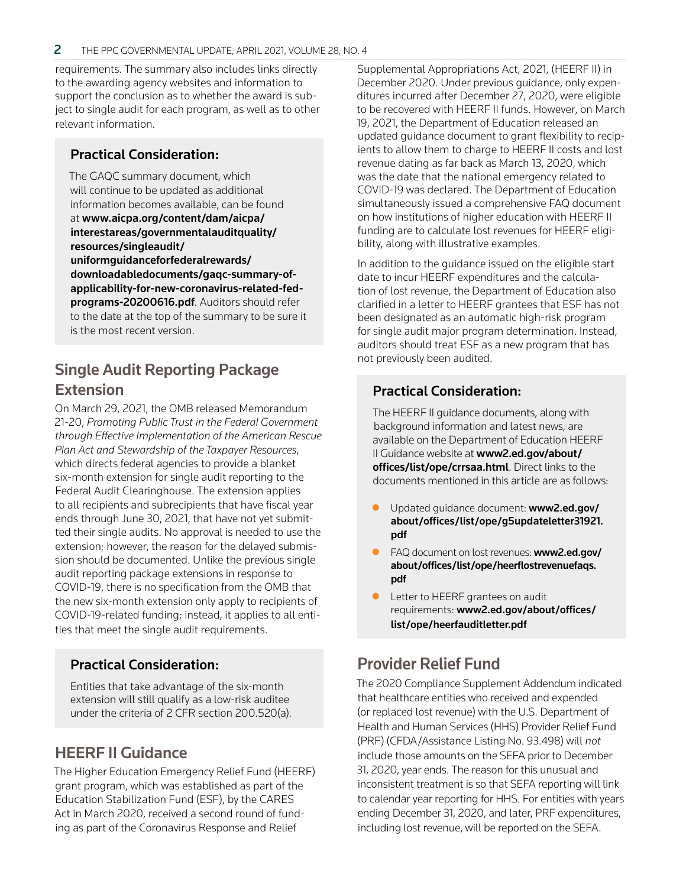requirements. The summary also includes links directly to the awarding agency websites and information to support the conclusion as to whether the award is subject to single audit for each program, as well as to other relevant information.

#### Practical Consideration:

The GAQC summary document, which will continue to be updated as additional information becomes available, can be found at www.aicpa.org/content/dam/aicpa/ interestareas/governmentalauditquality/ resources/singleaudit/ uniformguidanceforfederalrewards/ downloadabledocuments/gaqc-summary-of[applicability-for-new-coronavirus-related-fed](https://www.aicpa.org/content/dam/aicpa/interestareas/governmentalauditquality/resources/singleaudit/uniformguidanceforfederalrewards/downloadabledocuments/gaqc-summary-of-applicability-for-new-coronavirus-related-fed-programs-20200616.pdf)programs-20200616.pdf. Auditors should refer to the date at the top of the summary to be sure it is the most recent version.

## Single Audit Reporting Package **Extension**

On March 29, 2021, the OMB released Memorandum 21-20, *Promoting Public Trust in the Federal Government through Effective Implementation of the American Rescue Plan Act and Stewardship of the Taxpayer Resources*, which directs federal agencies to provide a blanket six-month extension for single audit reporting to the Federal Audit Clearinghouse. The extension applies to all recipients and subrecipients that have fiscal year ends through June 30, 2021, that have not yet submitted their single audits. No approval is needed to use the extension; however, the reason for the delayed submission should be documented. Unlike the previous single audit reporting package extensions in response to COVID-19, there is no specification from the OMB that the new six-month extension only apply to recipients of COVID-19-related funding; instead, it applies to all entities that meet the single audit requirements.

### Practical Consideration:

Entities that take advantage of the six-month extension will still qualify as a low-risk auditee under the criteria of 2 CFR section 200.520(a).

## HEERF II Guidance

The Higher Education Emergency Relief Fund (HEERF) grant program, which was established as part of the Education Stabilization Fund (ESF), by the CARES Act in March 2020, received a second round of funding as part of the Coronavirus Response and Relief

Supplemental Appropriations Act, 2021, (HEERF II) in December 2020. Under previous guidance, only expenditures incurred after December 27, 2020, were eligible to be recovered with HEERF II funds. However, on March 19, 2021, the Department of Education released an updated guidance document to grant flexibility to recipients to allow them to charge to HEERF II costs and lost revenue dating as far back as March 13, 2020, which was the date that the national emergency related to COVID-19 was declared. The Department of Education simultaneously issued a comprehensive FAQ document on how institutions of higher education with HEERF II funding are to calculate lost revenues for HEERF eligibility, along with illustrative examples.

In addition to the guidance issued on the eligible start date to incur HEERF expenditures and the calculation of lost revenue, the Department of Education also clarified in a letter to HEERF grantees that ESF has not been designated as an automatic high-risk program for single audit major program determination. Instead, auditors should treat ESF as a new program that has not previously been audited.

#### Practical Consideration:

The HEERF II guidance documents, along with background information and latest news, are available on the Department of Education HEERF II Guidance website at www2.ed.gov/about/ [offices/list/ope/crrsaa.html](https://www2.ed.gov/about/offices/list/ope/crrsaa.html). Direct links to the documents mentioned in this article are as follows:

- Updated quidance document: www2.ed.gov/ [about/offices/list/ope/g5updateletter31921.](https://www2.ed.gov/about/offices/list/ope/g5updateletter31921.pdf) pdf
- FAQ document on lost revenues: www2.ed.gov/ [about/offices/list/ope/heerflostrevenuefaqs.](https://www2.ed.gov/about/offices/list/ope/heerflostrevenuefaqs.pdf) pdf
- Letter to HEERF grantees on audit requirements: [www2.ed.gov/about/offices/](https://www2.ed.gov/about/offices/list/ope/heerfauditletter.pdf) list/ope/heerfauditletter.pdf

## Provider Relief Fund

The 2020 Compliance Supplement Addendum indicated that healthcare entities who received and expended (or replaced lost revenue) with the U.S. Department of Health and Human Services (HHS) Provider Relief Fund (PRF) (CFDA/Assistance Listing No. 93.498) will *not* include those amounts on the SEFA prior to December 31, 2020, year ends. The reason for this unusual and inconsistent treatment is so that SEFA reporting will link to calendar year reporting for HHS. For entities with years ending December 31, 2020, and later, PRF expenditures, including lost revenue, will be reported on the SEFA.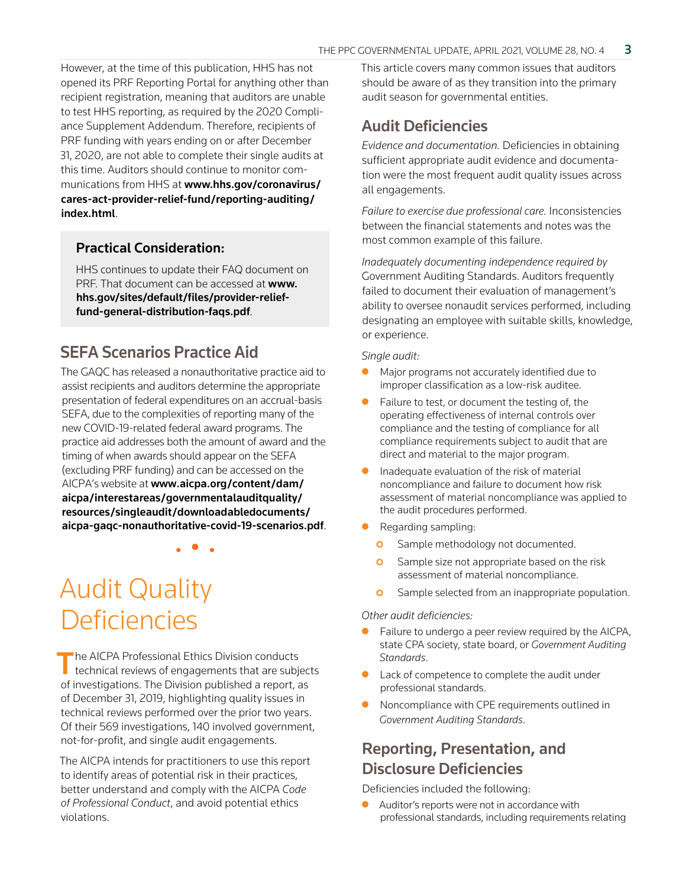However, at the time of this publication, HHS has not opened its PRF Reporting Portal for anything other than recipient registration, meaning that auditors are unable to test HHS reporting, as required by the 2020 Compliance Supplement Addendum. Therefore, recipients of PRF funding with years ending on or after December 31, 2020, are not able to complete their single audits at this time. Auditors should continue to monitor communications from HHS at www.hhs.gov/coronavirus/ [cares-act-provider-relief-fund/reporting-auditing/](https://www.hhs.gov/coronavirus/cares-act-provider-relief-fund/reporting-auditing/index.html) index.html.

#### Practical Consideration:

HHS continues to update their FAQ document on PRF. That document can be accessed at www. [hhs.gov/sites/default/files/provider-relief](https://www.hhs.gov/sites/default/files/provider-relief-fund-general-distribution-faqs.pdf)fund-general-distribution-faqs.pdf.

### SEFA Scenarios Practice Aid

The GAQC has released a nonauthoritative practice aid to assist recipients and auditors determine the appropriate presentation of federal expenditures on an accrual-basis SEFA, due to the complexities of reporting many of the new COVID-19-related federal award programs. The practice aid addresses both the amount of award and the timing of when awards should appear on the SEFA (excluding PRF funding) and can be accessed on the AICPA's website at www.aicpa.org/content/dam/ aicpa/interestareas/governmentalauditquality/ resources/singleaudit/downloadabledocuments/ [aicpa-gaqc-nonauthoritative-covid-19-scenarios.pdf](https://www.aicpa.org/content/dam/aicpa/interestareas/governmentalauditquality/resources/singleaudit/downloadabledocuments/aicpa-gaqc-nonauthoritative-covid-19-scenarios.pdf).

• • •

Audit Quality Deficiencies

The AICPA Professional Ethics Division conducts<br>technical reviews of engagements that are subjects of investigations. The Division published a report, as of December 31, 2019, highlighting quality issues in technical reviews performed over the prior two years. Of their 569 investigations, 140 involved government, not-for-profit, and single audit engagements.

The AICPA intends for practitioners to use this report to identify areas of potential risk in their practices, better understand and comply with the AICPA *Code of Professional Conduct*, and avoid potential ethics violations.

This article covers many common issues that auditors should be aware of as they transition into the primary audit season for governmental entities.

#### Audit Deficiencies

*Evidence and documentation.* Deficiencies in obtaining sufficient appropriate audit evidence and documentation were the most frequent audit quality issues across all engagements.

*Failure to exercise due professional care.* Inconsistencies between the financial statements and notes was the most common example of this failure.

*Inadequately documenting independence required by* Government Auditing Standards. Auditors frequently failed to document their evaluation of management's ability to oversee nonaudit services performed, including designating an employee with suitable skills, knowledge, or experience.

*Single audit:*

- Major programs not accurately identified due to improper classification as a low-risk auditee.
- $\bullet$  Failure to test, or document the testing of, the operating effectiveness of internal controls over compliance and the testing of compliance for all compliance requirements subject to audit that are direct and material to the major program.
- $\bullet$  Inadequate evaluation of the risk of material noncompliance and failure to document how risk assessment of material noncompliance was applied to the audit procedures performed.
- Regarding sampling:
	- **o** Sample methodology not documented.
	- **O** Sample size not appropriate based on the risk assessment of material noncompliance.
	- **O** Sample selected from an inappropriate population.

#### *Other audit deficiencies:*

- Failure to undergo a peer review required by the AICPA, state CPA society, state board, or *Government Auditing Standards*.
- Lack of competence to complete the audit under professional standards.
- Noncompliance with CPE requirements outlined in *Government Auditing Standards*.

### Reporting, Presentation, and Disclosure Deficiencies

Deficiencies included the following:

Auditor's reports were not in accordance with professional standards, including requirements relating